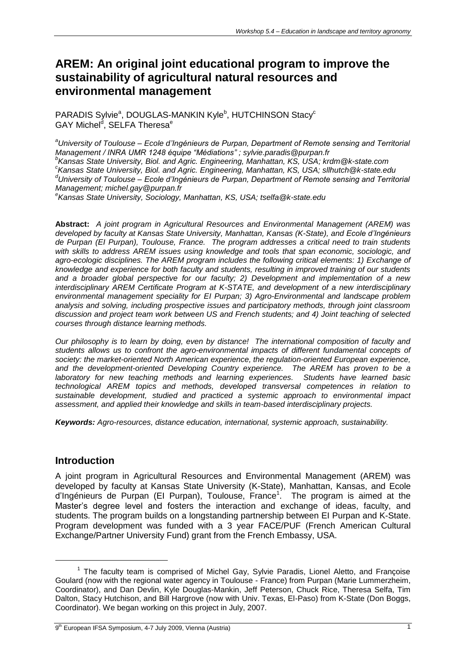# **AREM: An original joint educational program to improve the sustainability of agricultural natural resources and environmental management**

PARADIS Sylvie<sup>a</sup>, DOUGLAS-MANKIN Kyle<sup>b</sup>, HUTCHINSON Stacy<sup>c</sup> GAY Michel<sup>d</sup>, SELFA Theresa<sup>e</sup>

*<sup>a</sup>University of Toulouse – Ecole d'Ingénieurs de Purpan, Department of Remote sensing and Territorial Management / INRA UMR 1248 équipe "Médiations" ; sylvie.paradis@purpan.fr b Kansas State University, Biol. and Agric. Engineering, Manhattan, KS, USA; krdm@k-state.com c Kansas State University, Biol. and Agric. Engineering, Manhattan, KS, USA; sllhutch@k-state.edu <sup>d</sup>University of Toulouse – Ecole d'Ingénieurs de Purpan, Department of Remote sensing and Territorial Management; michel.gay@purpan.fr e Kansas State University, Sociology, Manhattan, KS, USA; tselfa@k-state.edu*

**Abstract:** *A joint program in Agricultural Resources and Environmental Management (AREM) was developed by faculty at Kansas State University, Manhattan, Kansas (K-State), and Ecole d'Ingénieurs de Purpan (EI Purpan), Toulouse, France. The program addresses a critical need to train students with skills to address AREM issues using knowledge and tools that span economic, sociologic, and*  agro-ecologic disciplines. The AREM program includes the following critical elements: 1) Exchange of *knowledge and experience for both faculty and students, resulting in improved training of our students and a broader global perspective for our faculty; 2) Development and implementation of a new interdisciplinary AREM Certificate Program at K-STATE, and development of a new interdisciplinary environmental management speciality for EI Purpan; 3) Agro-Environmental and landscape problem analysis and solving, including prospective issues and participatory methods, through joint classroom discussion and project team work between US and French students; and 4) Joint teaching of selected courses through distance learning methods.*

*Our philosophy is to learn by doing, even by distance! The international composition of faculty and students allows us to confront the agro-environmental impacts of different fundamental concepts of society: the market-oriented North American experience, the regulation-oriented European experience, and the development-oriented Developing Country experience. The AREM has proven to be a laboratory for new teaching methods and learning experiences. Students have learned basic technological AREM topics and methods, developed transversal competences in relation to sustainable development, studied and practiced a systemic approach to environmental impact assessment, and applied their knowledge and skills in team-based interdisciplinary projects.*

*Keywords: Agro-resources, distance education, international, systemic approach, sustainability.*

#### **Introduction**

 $\overline{a}$ 

A joint program in Agricultural Resources and Environmental Management (AREM) was developed by faculty at Kansas State University (K-State), Manhattan, Kansas, and Ecole d'Ingénieurs de Purpan (El Purpan), Toulouse, France<sup>1</sup>. The program is aimed at the Master's degree level and fosters the interaction and exchange of ideas, faculty, and students. The program builds on a longstanding partnership between EI Purpan and K-State. Program development was funded with a 3 year FACE/PUF (French American Cultural Exchange/Partner University Fund) grant from the French Embassy, USA.

<sup>&</sup>lt;sup>1</sup> The faculty team is comprised of Michel Gay, Sylvie Paradis, Lionel Aletto, and Françoise Goulard (now with the regional water agency in Toulouse - France) from Purpan (Marie Lummerzheim, Coordinator), and Dan Devlin, Kyle Douglas-Mankin, Jeff Peterson, Chuck Rice, Theresa Selfa, Tim Dalton, Stacy Hutchison, and Bill Hargrove (now with Univ. Texas, El-Paso) from K-State (Don Boggs, Coordinator). We began working on this project in July, 2007.

<sup>9&</sup>lt;sup>th</sup> European IFSA Symposium, 4-7 July 2009, Vienna (Austria) **19th European II** 19th 19th 19th 19th 19th 19th 19th 1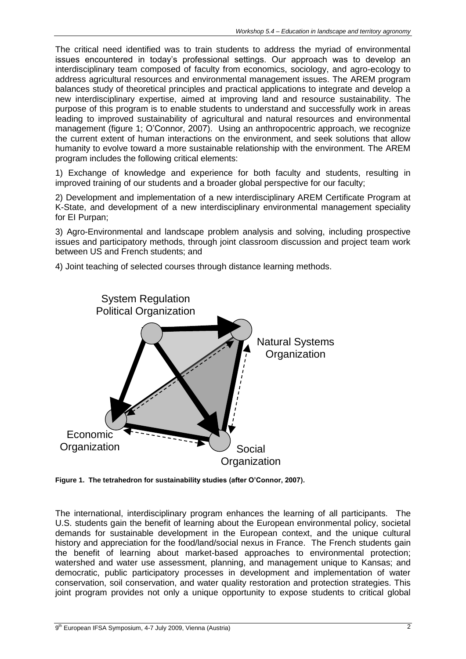The critical need identified was to train students to address the myriad of environmental issues encountered in today's professional settings. Our approach was to develop an interdisciplinary team composed of faculty from economics, sociology, and agro-ecology to address agricultural resources and environmental management issues. The AREM program balances study of theoretical principles and practical applications to integrate and develop a new interdisciplinary expertise, aimed at improving land and resource sustainability. The purpose of this program is to enable students to understand and successfully work in areas leading to improved sustainability of agricultural and natural resources and environmental management (figure 1; O'Connor, 2007). Using an anthropocentric approach, we recognize the current extent of human interactions on the environment, and seek solutions that allow humanity to evolve toward a more sustainable relationship with the environment. The AREM program includes the following critical elements:

1) Exchange of knowledge and experience for both faculty and students, resulting in improved training of our students and a broader global perspective for our faculty;

2) Development and implementation of a new interdisciplinary AREM Certificate Program at K-State, and development of a new interdisciplinary environmental management speciality for EI Purpan;

3) Agro-Environmental and landscape problem analysis and solving, including prospective issues and participatory methods, through joint classroom discussion and project team work between US and French students; and

4) Joint teaching of selected courses through distance learning methods.



**Figure 1. The tetrahedron for sustainability studies (after O'Connor, 2007).**

The international, interdisciplinary program enhances the learning of all participants. The U.S. students gain the benefit of learning about the European environmental policy, societal demands for sustainable development in the European context, and the unique cultural history and appreciation for the food/land/social nexus in France. The French students gain the benefit of learning about market-based approaches to environmental protection; watershed and water use assessment, planning, and management unique to Kansas; and democratic, public participatory processes in development and implementation of water conservation, soil conservation, and water quality restoration and protection strategies. This joint program provides not only a unique opportunity to expose students to critical global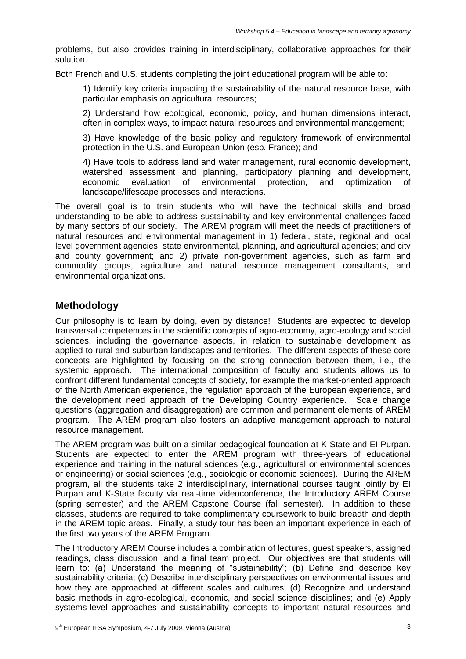problems, but also provides training in interdisciplinary, collaborative approaches for their solution.

Both French and U.S. students completing the joint educational program will be able to:

1) Identify key criteria impacting the sustainability of the natural resource base, with particular emphasis on agricultural resources;

2) Understand how ecological, economic, policy, and human dimensions interact, often in complex ways, to impact natural resources and environmental management;

3) Have knowledge of the basic policy and regulatory framework of environmental protection in the U.S. and European Union (esp. France); and

4) Have tools to address land and water management, rural economic development, watershed assessment and planning, participatory planning and development, economic evaluation of environmental protection, and optimization of landscape/lifescape processes and interactions.

The overall goal is to train students who will have the technical skills and broad understanding to be able to address sustainability and key environmental challenges faced by many sectors of our society. The AREM program will meet the needs of practitioners of natural resources and environmental management in 1) federal, state, regional and local level government agencies; state environmental, planning, and agricultural agencies; and city and county government; and 2) private non-government agencies, such as farm and commodity groups, agriculture and natural resource management consultants, and environmental organizations.

### **Methodology**

Our philosophy is to learn by doing, even by distance! Students are expected to develop transversal competences in the scientific concepts of agro-economy, agro-ecology and social sciences, including the governance aspects, in relation to sustainable development as applied to rural and suburban landscapes and territories. The different aspects of these core concepts are highlighted by focusing on the strong connection between them, i.e., the systemic approach. The international composition of faculty and students allows us to confront different fundamental concepts of society, for example the market-oriented approach of the North American experience, the regulation approach of the European experience, and the development need approach of the Developing Country experience. Scale change questions (aggregation and disaggregation) are common and permanent elements of AREM program. The AREM program also fosters an adaptive management approach to natural resource management.

The AREM program was built on a similar pedagogical foundation at K-State and EI Purpan. Students are expected to enter the AREM program with three-years of educational experience and training in the natural sciences (e.g., agricultural or environmental sciences or engineering) or social sciences (e.g., sociologic or economic sciences). During the AREM program, all the students take 2 interdisciplinary, international courses taught jointly by EI Purpan and K-State faculty via real-time videoconference, the Introductory AREM Course (spring semester) and the AREM Capstone Course (fall semester). In addition to these classes, students are required to take complimentary coursework to build breadth and depth in the AREM topic areas. Finally, a study tour has been an important experience in each of the first two years of the AREM Program.

The Introductory AREM Course includes a combination of lectures, guest speakers, assigned readings, class discussion, and a final team project. Our objectives are that students will learn to: (a) Understand the meaning of "sustainability"; (b) Define and describe key sustainability criteria; (c) Describe interdisciplinary perspectives on environmental issues and how they are approached at different scales and cultures; (d) Recognize and understand basic methods in agro-ecological, economic, and social science disciplines; and (e) Apply systems-level approaches and sustainability concepts to important natural resources and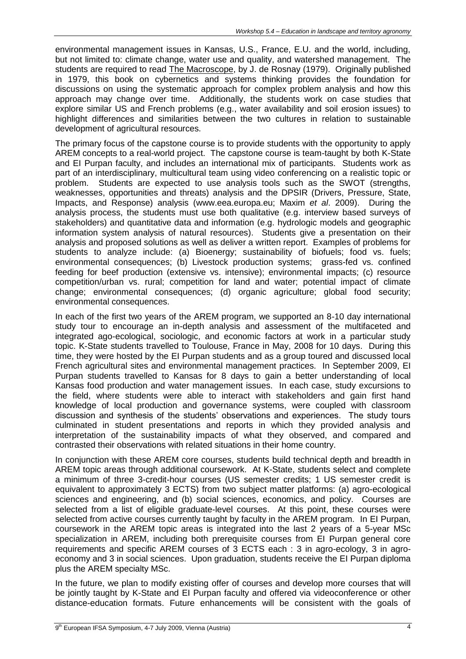environmental management issues in Kansas, U.S., France, E.U. and the world, including, but not limited to: climate change, water use and quality, and watershed management. The students are required to read The Macroscope, by J. de Rosnay (1979). Originally published in 1979, this book on cybernetics and systems thinking provides the foundation for discussions on using the systematic approach for complex problem analysis and how this approach may change over time. Additionally, the students work on case studies that explore similar US and French problems (e.g., water availability and soil erosion issues) to highlight differences and similarities between the two cultures in relation to sustainable development of agricultural resources.

The primary focus of the capstone course is to provide students with the opportunity to apply AREM concepts to a real-world project. The capstone course is team-taught by both K-State and EI Purpan faculty, and includes an international mix of participants. Students work as part of an interdisciplinary, multicultural team using video conferencing on a realistic topic or problem. Students are expected to use analysis tools such as the SWOT (strengths, weaknesses, opportunities and threats) analysis and the DPSIR (Drivers, Pressure, State, Impacts, and Response) analysis (www.eea.europa.eu; Maxim *et al*. 2009). During the analysis process, the students must use both qualitative (e.g. interview based surveys of stakeholders) and quantitative data and information (e.g. hydrologic models and geographic information system analysis of natural resources). Students give a presentation on their analysis and proposed solutions as well as deliver a written report. Examples of problems for students to analyze include: (a) Bioenergy; sustainability of biofuels; food vs. fuels; environmental consequences; (b) Livestock production systems; grass-fed vs. confined feeding for beef production (extensive vs. intensive); environmental impacts; (c) resource competition/urban vs. rural; competition for land and water; potential impact of climate change; environmental consequences; (d) organic agriculture; global food security; environmental consequences.

In each of the first two years of the AREM program, we supported an 8-10 day international study tour to encourage an in-depth analysis and assessment of the multifaceted and integrated ago-ecological, sociologic, and economic factors at work in a particular study topic. K-State students travelled to Toulouse, France in May, 2008 for 10 days. During this time, they were hosted by the EI Purpan students and as a group toured and discussed local French agricultural sites and environmental management practices. In September 2009, EI Purpan students travelled to Kansas for 8 days to gain a better understanding of local Kansas food production and water management issues. In each case, study excursions to the field, where students were able to interact with stakeholders and gain first hand knowledge of local production and governance systems, were coupled with classroom discussion and synthesis of the students' observations and experiences. The study tours culminated in student presentations and reports in which they provided analysis and interpretation of the sustainability impacts of what they observed, and compared and contrasted their observations with related situations in their home country.

In conjunction with these AREM core courses, students build technical depth and breadth in AREM topic areas through additional coursework. At K-State, students select and complete a minimum of three 3-credit-hour courses (US semester credits; 1 US semester credit is equivalent to approximately 3 ECTS) from two subject matter platforms: (a) agro-ecological sciences and engineering, and (b) social sciences, economics, and policy. Courses are selected from a list of eligible graduate-level courses. At this point, these courses were selected from active courses currently taught by faculty in the AREM program. In EI Purpan, coursework in the AREM topic areas is integrated into the last 2 years of a 5-year MSc specialization in AREM, including both prerequisite courses from EI Purpan general core requirements and specific AREM courses of 3 ECTS each : 3 in agro-ecology, 3 in agroeconomy and 3 in social sciences. Upon graduation, students receive the EI Purpan diploma plus the AREM specialty MSc.

In the future, we plan to modify existing offer of courses and develop more courses that will be jointly taught by K-State and EI Purpan faculty and offered via videoconference or other distance-education formats. Future enhancements will be consistent with the goals of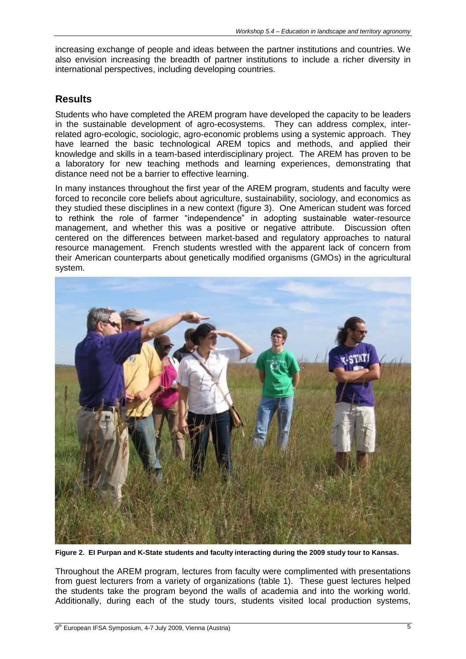increasing exchange of people and ideas between the partner institutions and countries. We also envision increasing the breadth of partner institutions to include a richer diversity in international perspectives, including developing countries.

#### **Results**

Students who have completed the AREM program have developed the capacity to be leaders in the sustainable development of agro-ecosystems. They can address complex, interrelated agro-ecologic, sociologic, agro-economic problems using a systemic approach. They have learned the basic technological AREM topics and methods, and applied their knowledge and skills in a team-based interdisciplinary project. The AREM has proven to be a laboratory for new teaching methods and learning experiences, demonstrating that distance need not be a barrier to effective learning.

In many instances throughout the first year of the AREM program, students and faculty were forced to reconcile core beliefs about agriculture, sustainability, sociology, and economics as they studied these disciplines in a new context (figure 3). One American student was forced to rethink the role of farmer "independence" in adopting sustainable water-resource management, and whether this was a positive or negative attribute. Discussion often centered on the differences between market-based and regulatory approaches to natural resource management. French students wrestled with the apparent lack of concern from their American counterparts about genetically modified organisms (GMOs) in the agricultural system.



**Figure 2. EI Purpan and K-State students and faculty interacting during the 2009 study tour to Kansas.**

Throughout the AREM program, lectures from faculty were complimented with presentations from guest lecturers from a variety of organizations (table 1). These guest lectures helped the students take the program beyond the walls of academia and into the working world. Additionally, during each of the study tours, students visited local production systems,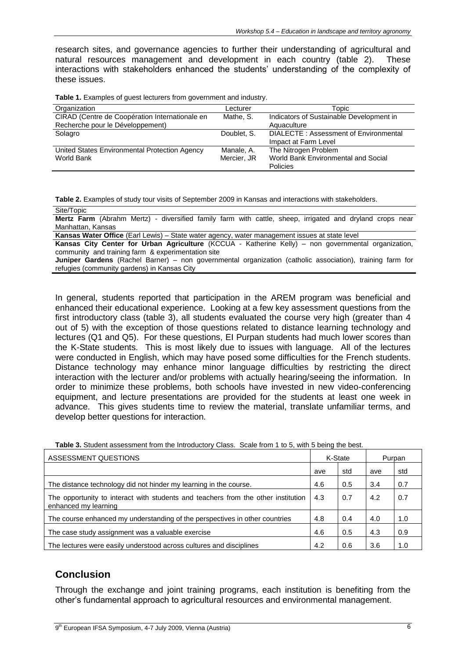research sites, and governance agencies to further their understanding of agricultural and natural resources management and development in each country (table 2). These interactions with stakeholders enhanced the students' understanding of the complexity of these issues.

**Table 1.** Examples of guest lecturers from government and industry.

| Organization                                   | Lecturer    | Topic                                    |  |  |
|------------------------------------------------|-------------|------------------------------------------|--|--|
| CIRAD (Centre de Coopération Internationale en | Mathe, S.   | Indicators of Sustainable Development in |  |  |
| Recherche pour le Développement)               |             | Aquaculture                              |  |  |
| Solagro                                        | Doublet, S. | DIALECTE: Assessment of Environmental    |  |  |
|                                                |             | Impact at Farm Level                     |  |  |
| United States Environmental Protection Agency  | Manale, A.  | The Nitrogen Problem                     |  |  |
| World Bank                                     | Mercier, JR | World Bank Environmental and Social      |  |  |
|                                                |             | Policies                                 |  |  |

**Table 2.** Examples of study tour visits of September 2009 in Kansas and interactions with stakeholders.

| Site/Topic                                                                                                      |
|-----------------------------------------------------------------------------------------------------------------|
| <b>Mertz Farm</b> (Abrahm Mertz) - diversified family farm with cattle, sheep, irrigated and dryland crops near |
| Manhattan. Kansas                                                                                               |
| Kansas Water Office (Earl Lewis) – State water agency, water management issues at state level                   |

**Kansas City Center for Urban Agriculture** (KCCUA - Katherine Kelly) – non governmental organization, community and training farm & experimentation site

**Juniper Gardens** (Rachel Barner) – non governmental organization (catholic association), training farm for refugies (community gardens) in Kansas City

In general, students reported that participation in the AREM program was beneficial and enhanced their educational experience. Looking at a few key assessment questions from the first introductory class (table 3), all students evaluated the course very high (greater than 4 out of 5) with the exception of those questions related to distance learning technology and lectures (Q1 and Q5). For these questions, EI Purpan students had much lower scores than the K-State students. This is most likely due to issues with language. All of the lectures were conducted in English, which may have posed some difficulties for the French students. Distance technology may enhance minor language difficulties by restricting the direct interaction with the lecturer and/or problems with actually hearing/seeing the information. In order to minimize these problems, both schools have invested in new video-conferencing equipment, and lecture presentations are provided for the students at least one week in advance. This gives students time to review the material, translate unfamiliar terms, and develop better questions for interaction.

**Table 3.** Student assessment from the Introductory Class. Scale from 1 to 5, with 5 being the best.

| ASSESSMENT QUESTIONS                                                                                      |     | K-State |     | Purpan |  |
|-----------------------------------------------------------------------------------------------------------|-----|---------|-----|--------|--|
|                                                                                                           | ave | std     | ave | std    |  |
| The distance technology did not hinder my learning in the course.                                         | 4.6 | 0.5     | 3.4 | 0.7    |  |
| The opportunity to interact with students and teachers from the other institution<br>enhanced my learning |     | 0.7     | 4.2 | 0.7    |  |
| The course enhanced my understanding of the perspectives in other countries                               | 4.8 | 0.4     | 4.0 | 1.0    |  |
| The case study assignment was a valuable exercise                                                         |     | 0.5     | 4.3 | 0.9    |  |
| The lectures were easily understood across cultures and disciplines                                       |     | 0.6     | 3.6 | 1.0    |  |

## **Conclusion**

Through the exchange and joint training programs, each institution is benefiting from the other's fundamental approach to agricultural resources and environmental management.